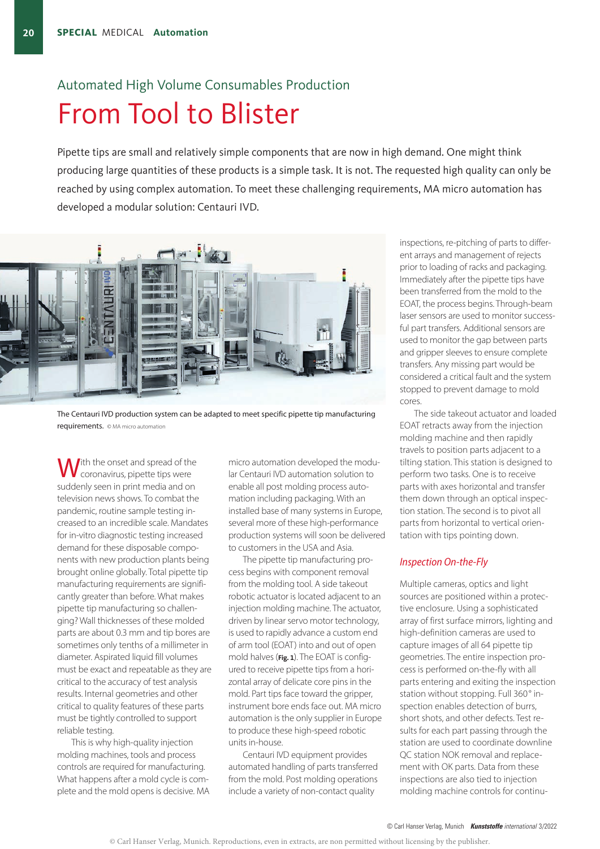# Automated High Volume Consumables Production From Tool to Blister

Pipette tips are small and relatively simple components that are now in high demand. One might think producing large quantities of these products is a simple task. It is not. The requested high quality can only be reached by using complex automation. To meet these challenging requirements, MA micro automation has developed a modular solution: Centauri IVD.



The Centauri IVD production system can be adapted to meet specific pipette tip manufacturing requirements. © MA micro automation

Ith the onset and spread of the coronavirus, pipette tips were suddenly seen in print media and on television news shows. To combat the pandemic, routine sample testing increased to an incredible scale. Mandates for in-vitro diagnostic testing increased demand for these disposable components with new production plants being brought online globally. Total pipette tip manufacturing requirements are significantly greater than before. What makes pipette tip manufacturing so challenging? Wall thicknesses of these molded parts are about 0.3 mm and tip bores are sometimes only tenths of a millimeter in diameter. Aspirated liquid fill volumes must be exact and repeatable as they are critical to the accuracy of test analysis results. Internal geometries and other critical to quality features of these parts must be tightly controlled to support reliable testing.

This is why high-quality injection molding machines, tools and process controls are required for manufacturing. What happens after a mold cycle is complete and the mold opens is decisive. MA micro automation developed the modular Centauri IVD automation solution to enable all post molding process automation including packaging. With an installed base of many systems in Europe, several more of these high-performance production systems will soon be delivered to customers in the USA and Asia.

The pipette tip manufacturing process begins with component removal from the molding tool. A side takeout robotic actuator is located adjacent to an injection molding machine. The actuator, driven by linear servo motor technology, is used to rapidly advance a custom end of arm tool (EOAT) into and out of open mold halves (**Fig. 1**). The EOAT is configured to receive pipette tips from a horizontal array of delicate core pins in the mold. Part tips face toward the gripper, instrument bore ends face out. MA micro automation is the only supplier in Europe to produce these high-speed robotic units in-house.

Centauri IVD equipment provides automated handling of parts transferred from the mold. Post molding operations include a variety of non-contact quality

inspections, re-pitching of parts to different arrays and management of rejects prior to loading of racks and packaging. Immediately after the pipette tips have been transferred from the mold to the EOAT, the process begins. Through-beam laser sensors are used to monitor successful part transfers. Additional sensors are used to monitor the gap between parts and gripper sleeves to ensure complete transfers. Any missing part would be considered a critical fault and the system stopped to prevent damage to mold cores.

The side takeout actuator and loaded EOAT retracts away from the injection molding machine and then rapidly travels to position parts adjacent to a tilting station. This station is designed to perform two tasks. One is to receive parts with axes horizontal and transfer them down through an optical inspection station. The second is to pivot all parts from horizontal to vertical orientation with tips pointing down.

# *Inspection On-the-Fly*

Multiple cameras, optics and light sources are positioned within a protective enclosure. Using a sophisticated array of first surface mirrors, lighting and high-definition cameras are used to capture images of all 64 pipette tip geometries. The entire inspection process is performed on-the-fly with all parts entering and exiting the inspection station without stopping. Full 360° inspection enables detection of burrs, short shots, and other defects. Test results for each part passing through the station are used to coordinate downline QC station NOK removal and replacement with OK parts. Data from these inspections are also tied to injection molding machine controls for continu-